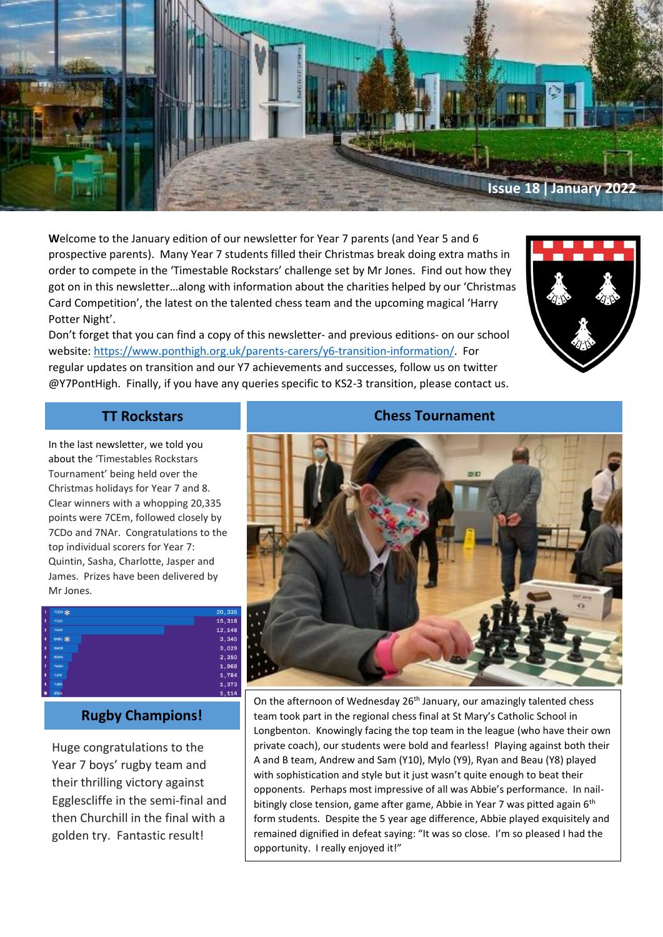

**W**elcome to the January edition of our newsletter for Year 7 parents (and Year 5 and 6 prospective parents). Many Year 7 students filled their Christmas break doing extra maths in order to compete in the 'Timestable Rockstars' challenge set by Mr Jones. Find out how they got on in this newsletter…along with information about the charities helped by our 'Christmas Card Competition', the latest on the talented chess team and the upcoming magical 'Harry Potter Night'.



Don't forget that you can find a copy of this newsletter- and previous editions- on our school website: [https://www.ponthigh.org.uk/parents-carers/y6-transition-information/.](https://www.ponthigh.org.uk/parents-carers/y6-transition-information/) For regular updates on transition and our Y7 achievements and successes, follow us on twitter @Y7PontHigh. Finally, if you have any queries specific to KS2-3 transition, please contact us.

via our dedicated e-mail address: [Year6questions@ponthigh.org.uk](mailto:Year6questions@ponthigh.org.uk)

In the last newsletter, we told you about the 'Timestables Rockstars Tournament' being held over the Christmas holidays for Year 7 and 8. Clear winners with a whopping 20,335 points were 7CEm, followed closely by 7CDo and 7NAr. Congratulations to the top individual scorers for Year 7: Quintin, Sasha, Charlotte, Jasper and James. Prizes have been delivered by Mr Jones.



# **Rugby Champions!**

Huge congratulations to the Year 7 boys' rugby team and their thrilling victory against Egglescliffe in the semi-final and then Churchill in the final with a golden try. Fantastic result!

### **TT Rockstars Chess Tournament**



On the afternoon of Wednesday 26<sup>th</sup> January, our amazingly talented chess team took part in the regional chess final at St Mary's Catholic School in Longbenton. Knowingly facing the top team in the league (who have their own private coach), our students were bold and fearless! Playing against both their A and B team, Andrew and Sam (Y10), Mylo (Y9), Ryan and Beau (Y8) played with sophistication and style but it just wasn't quite enough to beat their opponents. Perhaps most impressive of all was Abbie's performance. In nailbitingly close tension, game after game, Abbie in Year 7 was pitted again 6<sup>th</sup> form students. Despite the 5 year age difference, Abbie played exquisitely and remained dignified in defeat saying: "It was so close. I'm so pleased I had the opportunity. I really enjoyed it!"